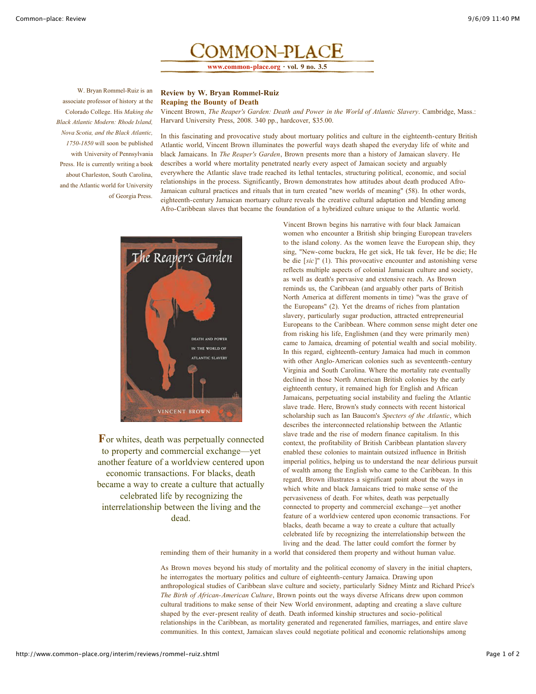

W. Bryan Rommel-Ruiz is an associate professor of history at the Colorado College. His *Making the Black Atlantic Modern: Rhode Island, Nova Scotia, and the Black Atlantic, 1750-1850* will soon be published with University of Pennsylvania Press. He is currently writing a book about Charleston, South Carolina, and the Atlantic world for University of Georgia Press.

## **Review by W. Bryan Rommel-Ruiz Reaping the Bounty of Death**

Vincent Brown, *The Reaper's Garden: Death and Power in the World of Atlantic Slavery*. Cambridge, Mass.: Harvard University Press, 2008. 340 pp., hardcover, \$35.00.

In this fascinating and provocative study about mortuary politics and culture in the eighteenth-century British Atlantic world, Vincent Brown illuminates the powerful ways death shaped the everyday life of white and black Jamaicans. In *The Reaper's Garden*, Brown presents more than a history of Jamaican slavery. He describes a world where mortality penetrated nearly every aspect of Jamaican society and arguably everywhere the Atlantic slave trade reached its lethal tentacles, structuring political, economic, and social relationships in the process. Significantly, Brown demonstrates how attitudes about death produced Afro-Jamaican cultural practices and rituals that in turn created "new worlds of meaning" (58). In other words, eighteenth-century Jamaican mortuary culture reveals the creative cultural adaptation and blending among Afro-Caribbean slaves that became the foundation of a hybridized culture unique to the Atlantic world.



**F**or whites, death was perpetually connected to property and commercial exchange—yet another feature of a worldview centered upon economic transactions. For blacks, death became a way to create a culture that actually celebrated life by recognizing the interrelationship between the living and the dead.

Vincent Brown begins his narrative with four black Jamaican women who encounter a British ship bringing European travelers to the island colony. As the women leave the European ship, they sing, "New-come buckra, He get sick, He tak fever, He be die; He be die [*sic*]" (1). This provocative encounter and astonishing verse reflects multiple aspects of colonial Jamaican culture and society, as well as death's pervasive and extensive reach. As Brown reminds us, the Caribbean (and arguably other parts of British North America at different moments in time) "was the grave of the Europeans" (2). Yet the dreams of riches from plantation slavery, particularly sugar production, attracted entrepreneurial Europeans to the Caribbean. Where common sense might deter one from risking his life, Englishmen (and they were primarily men) came to Jamaica, dreaming of potential wealth and social mobility. In this regard, eighteenth-century Jamaica had much in common with other Anglo-American colonies such as seventeenth-century Virginia and South Carolina. Where the mortality rate eventually declined in those North American British colonies by the early eighteenth century, it remained high for English and African Jamaicans, perpetuating social instability and fueling the Atlantic slave trade. Here, Brown's study connects with recent historical scholarship such as Ian Baucom's *Specters of the Atlantic*, which describes the interconnected relationship between the Atlantic slave trade and the rise of modern finance capitalism. In this context, the profitability of British Caribbean plantation slavery enabled these colonies to maintain outsized influence in British imperial politics, helping us to understand the near delirious pursuit of wealth among the English who came to the Caribbean. In this regard, Brown illustrates a significant point about the ways in which white and black Jamaicans tried to make sense of the pervasiveness of death. For whites, death was perpetually connected to property and commercial exchange—yet another feature of a worldview centered upon economic transactions. For blacks, death became a way to create a culture that actually celebrated life by recognizing the interrelationship between the living and the dead. The latter could comfort the former by

reminding them of their humanity in a world that considered them property and without human value.

As Brown moves beyond his study of mortality and the political economy of slavery in the initial chapters, he interrogates the mortuary politics and culture of eighteenth-century Jamaica. Drawing upon anthropological studies of Caribbean slave culture and society, particularly Sidney Mintz and Richard Price's *The Birth of African-American Culture*, Brown points out the ways diverse Africans drew upon common cultural traditions to make sense of their New World environment, adapting and creating a slave culture shaped by the ever-present reality of death. Death informed kinship structures and socio-political relationships in the Caribbean, as mortality generated and regenerated families, marriages, and entire slave communities. In this context, Jamaican slaves could negotiate political and economic relationships among